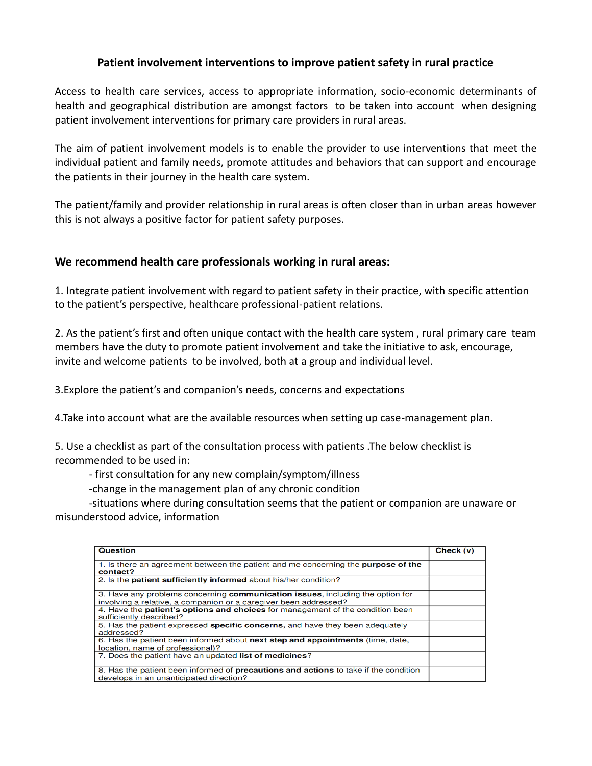## **Patient involvement interventions to improve patient safety in rural practice**

Access to health care services, access to appropriate information, socio-economic determinants of health and geographical distribution are amongst factors to be taken into account when designing patient involvement interventions for primary care providers in rural areas.

The aim of patient involvement models is to enable the provider to use interventions that meet the individual patient and family needs, promote attitudes and behaviors that can support and encourage the patients in their journey in the health care system.

The patient/family and provider relationship in rural areas is often closer than in urban areas however this is not always a positive factor for patient safety purposes.

## **We recommend health care professionals working in rural areas:**

1. Integrate patient involvement with regard to patient safety in their practice, with specific attention to the patient's perspective, healthcare professional-patient relations.

2. As the patient's first and often unique contact with the health care system , rural primary care team members have the duty to promote patient involvement and take the initiative to ask, encourage, invite and welcome patients to be involved, both at a group and individual level.

3.Explore the patient's and companion's needs, concerns and expectations

4.Take into account what are the available resources when setting up case-management plan.

5. Use a checklist as part of the consultation process with patients .The below checklist is recommended to be used in:

- first consultation for any new complain/symptom/illness

-change in the management plan of any chronic condition

 -situations where during consultation seems that the patient or companion are unaware or misunderstood advice, information

| Question                                                                                                                                           | Check (v) |
|----------------------------------------------------------------------------------------------------------------------------------------------------|-----------|
|                                                                                                                                                    |           |
| 1. Is there an agreement between the patient and me concerning the <b>purpose of the</b><br>contact?                                               |           |
| 2. Is the <b>patient sufficiently informed</b> about his/her condition?                                                                            |           |
| 3. Have any problems concerning communication issues, including the option for<br>involving a relative, a companion or a caregiver been addressed? |           |
| 4. Have the <b>patient's options and choices</b> for management of the condition been<br>sufficiently described?                                   |           |
| 5. Has the patient expressed specific concerns, and have they been adequately<br>addressed?                                                        |           |
| 6. Has the patient been informed about next step and appointments (time, date,<br>location, name of professional)?                                 |           |
| 7. Does the patient have an updated list of medicines?                                                                                             |           |
| 8. Has the patient been informed of <b>precautions and actions</b> to take if the condition<br>develops in an unanticipated direction?             |           |